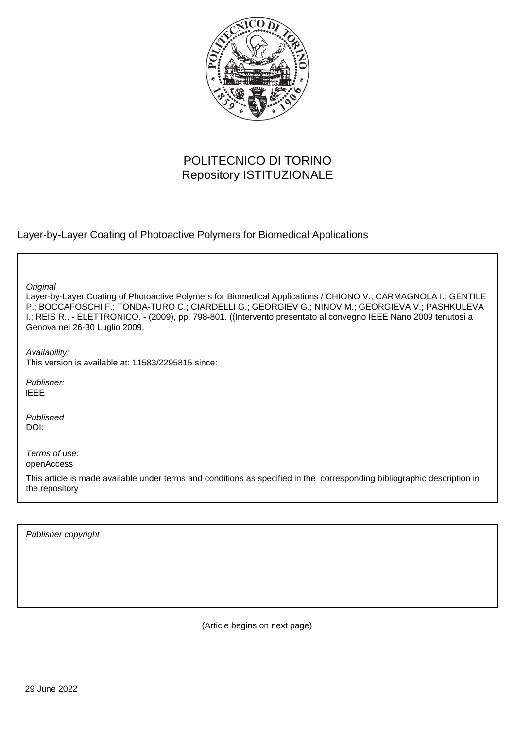

# POLITECNICO DI TORINO Repository ISTITUZIONALE

Layer-by-Layer Coating of Photoactive Polymers for Biomedical Applications

**Original** 

Layer-by-Layer Coating of Photoactive Polymers for Biomedical Applications / CHIONO V.; CARMAGNOLA I.; GENTILE P.; BOCCAFOSCHI F.; TONDA-TURO C.; CIARDELLI G.; GEORGIEV G.; NINOV M.; GEORGIEVA V.; PASHKULEVA I.; REIS R.. - ELETTRONICO. - (2009), pp. 798-801. ((Intervento presentato al convegno IEEE Nano 2009 tenutosi a Genova nel 26-30 Luglio 2009.

Availability: This version is available at: 11583/2295815 since:

Publisher: IEEE

Published DOI:

Terms of use: openAccess

This article is made available under terms and conditions as specified in the corresponding bibliographic description in the repository

Publisher copyright

(Article begins on next page)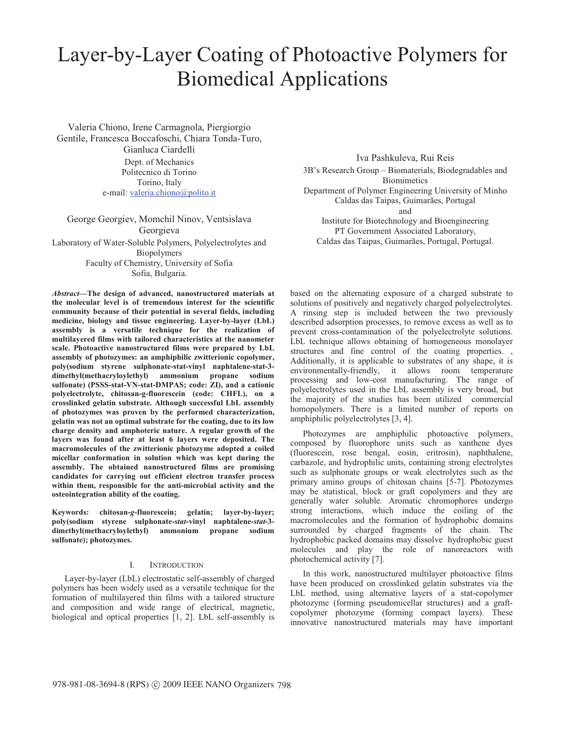# Layer-by-Layer Coating of Photoactive Polymers for Biomedical Applications

Valeria Chiono, Irene Carmagnola, Piergiorgio Gentile, Francesca Boccafoschi, Chiara Tonda-Turo, Gianluca Ciardelli Dept. of Mechanics Politecnico di Torino Torino, Italy e-mail: valeria.chiono@polito.it

George Georgiev, Momchil Ninov, Ventsislava Georgieva Laboratory of Water-Soluble Polymers, Polyelectrolytes and Biopolymers Faculty of Chemistry, University of Sofia Sofia, Bulgaria.

*Abstract***—The design of advanced, nanostructured materials at the molecular level is of tremendous interest for the scientific community because of their potential in several fields, including medicine, biology and tissue engineering. Layer-by-layer (LbL) assembly is a versatile technique for the realization of multilayered films with tailored characteristics at the nanometer scale. Photoactive nanostructured films were prepared by LbL assembly of photozymes: an amphiphilic zwitterionic copolymer, poly(sodium styrene sulphonate-stat-vinyl naphtalene-stat-3 dimethyl(methacryloylethyl) ammonium propane sodium sulfonate) (PSSS-stat-VN-stat-DMPAS; code: ZI), and a cationic polyelectrolyte, chitosan-g-fluorescein (code: CHFL), on a crosslinked gelatin substrate. Although successful LbL assembly of photozymes was proven by the performed characterization, gelatin was not an optimal substrate for the coating, due to its low charge density and amphoteric nature. A regular growth of the layers was found after at least 6 layers were deposited. The macromolecules of the zwitterionic photozyme adopted a coiled micellar conformation in solution which was kept during the assembly. The obtained nanostructured films are promising candidates for carrying out efficient electron transfer process within them, responsible for the anti-microbial activity and the osteointegration ability of the coating.** 

**Keywords: chitosan-***g***-fluorescein; gelatin; layer-by-layer; poly(sodium styrene sulphonate-***stat***-vinyl naphtalene-***stat***-3** dimethyl(methacryloylethyl) ammonium **sulfonate); photozymes.** 

#### I. INTRODUCTION

Layer-by-layer (LbL) electrostatic self-assembly of charged polymers has been widely used as a versatile technique for the formation of multilayered thin films with a tailored structure and composition and wide range of electrical, magnetic, biological and optical properties [1, 2]. LbL self-assembly is

Iva Pashkuleva, Rui Reis

3B's Research Group – Biomaterials, Biodegradables and **Biomimetics** Department of Polymer Engineering University of Minho Caldas das Taipas, Guimarães, Portugal and Institute for Biotechnology and Bioengineering PT Government Associated Laboratory, Caldas das Taipas, Guimarães, Portugal, Portugal.

based on the alternating exposure of a charged substrate to solutions of positively and negatively charged polyelectrolytes. A rinsing step is included between the two previously described adsorption processes, to remove excess as well as to prevent cross-contamination of the polyelectrolyte solutions. LbL technique allows obtaining of homogeneous monolayer structures and fine control of the coating properties. , Additionally, it is applicable to substrates of any shape, it is environmentally-friendly, it allows room temperature processing and low-cost manufacturing. The range of polyelectrolytes used in the LbL assembly is very broad, but the majority of the studies has been utilized commercial homopolymers. There is a limited number of reports on amphiphilic polyelectrolytes [3, 4].

Photozymes are amphiphilic photoactive polymers, composed by fluorophore units such as xanthene dyes (fluorescein, rose bengal, eosin, eritrosin), naphthalene, carbazole, and hydrophilic units, containing strong electrolytes such as sulphonate groups or weak electrolytes such as the primary amino groups of chitosan chains [5-7]. Photozymes may be statistical, block or graft copolymers and they are generally water soluble. Aromatic chromophores undergo strong interactions, which induce the coiling of the macromolecules and the formation of hydrophobic domains surrounded by charged fragments of the chain. The hydrophobic packed domains may dissolve hydrophobic guest molecules and play the role of nanoreactors with photochemical activity [7].

In this work, nanostructured multilayer photoactive films have been produced on crosslinked gelatin substrates via the LbL method, using alternative layers of a stat-copolymer photozyme (forming pseudomicellar structures) and a graftcopolymer photozyme (forming compact layers). These innovative nanostructured materials may have important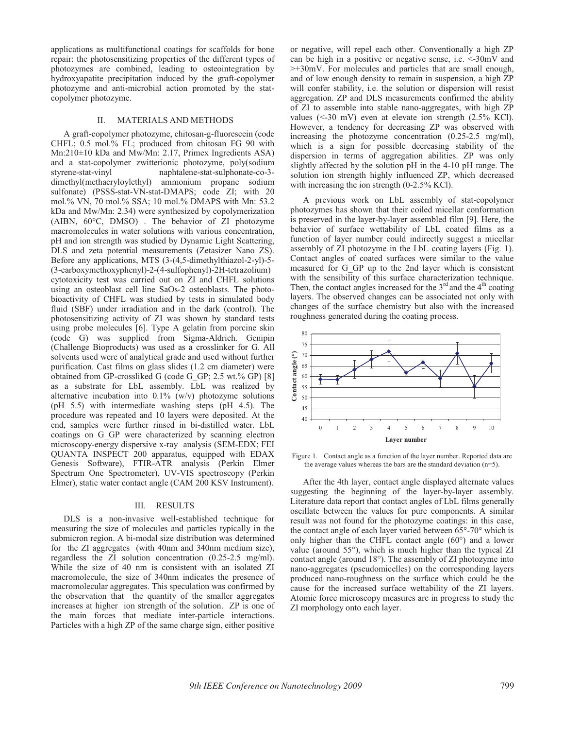applications as multifunctional coatings for scaffolds for bone repair: the photosensitizing properties of the different types of photozymes are combined, leading to osteointegration by hydroxyapatite precipitation induced by the graft-copolymer photozyme and anti-microbial action promoted by the statcopolymer photozyme.

### II. MATERIALS AND METHODS

A graft-copolymer photozyme, chitosan-g-fluorescein (code CHFL; 0.5 mol.% FL; produced from chitosan FG 90 with Mn:210±10 kDa and Mw/Mn: 2.17, Primex Ingredients ASA) and a stat-copolymer zwitterionic photozyme, poly(sodium styrene-stat-vinyl naphtalene-stat-sulphonate-co-3 dimethyl(methacryloylethyl) ammonium propane sodium sulfonate) (PSSS-stat-VN-stat-DMAPS; code ZI; with 20 mol.% VN, 70 mol.% SSA; 10 mol.% DMAPS with Mn: 53.2 kDa and Mw/Mn: 2.34) were synthesized by copolymerization (AIBN, 60°C, DMSO) . The behavior of ZI photozyme macromolecules in water solutions with various concentration, pH and ion strength was studied by Dynamic Light Scattering, DLS and zeta potential measurements (Zetasizer Nano ZS). Before any applications, MTS (3-(4,5-dimethylthiazol-2-yl)-5- (3-carboxymethoxyphenyl)-2-(4-sulfophenyl)-2H-tetrazolium) cytotoxicity test was carried out on ZI and CHFL solutions using an osteoblast cell line SaOs-2 osteoblasts. The photobioactivity of CHFL was studied by tests in simulated body fluid (SBF) under irradiation and in the dark (control). The photosensitizing activity of ZI was shown by standard tests using probe molecules [6]. Type A gelatin from porcine skin (code G) was supplied from Sigma-Aldrich. Genipin (Challenge Bioproducts) was used as a crosslinker for G. All solvents used were of analytical grade and used without further purification. Cast films on glass slides (1.2 cm diameter) were obtained from GP-crossliked G (code G\_GP; 2.5 wt.% GP) [8] as a substrate for LbL assembly. LbL was realized by alternative incubation into  $0.1\%$  (w/v) photozyme solutions (pH 5.5) with intermediate washing steps (pH 4.5). The procedure was repeated and 10 layers were deposited. At the end, samples were further rinsed in bi-distilled water. LbL coatings on G\_GP were characterized by scanning electron microscopy-energy dispersive x-ray analysis (SEM-EDX; FEI QUANTA INSPECT 200 apparatus, equipped with EDAX Genesis Software), FTIR-ATR analysis (Perkin Elmer Spectrum One Spectrometer), UV-VIS spectroscopy (Perkin Elmer), static water contact angle (CAM 200 KSV Instrument).

#### III. RESULTS

DLS is a non-invasive well-established technique for measuring the size of molecules and particles typically in the submicron region. A bi-modal size distribution was determined for the ZI aggregates (with 40nm and 340nm medium size), regardless the ZI solution concentration (0.25-2.5 mg/ml). While the size of 40 nm is consistent with an isolated ZI macromolecule, the size of 340nm indicates the presence of macromolecular aggregates. This speculation was confirmed by the observation that the quantity of the smaller aggregates increases at higher ion strength of the solution. ZP is one of the main forces that mediate inter-particle interactions. Particles with a high ZP of the same charge sign, either positive or negative, will repel each other. Conventionally a high ZP can be high in a positive or negative sense, i.e. <-30mV and >+30mV. For molecules and particles that are small enough, and of low enough density to remain in suspension, a high ZP will confer stability, i.e. the solution or dispersion will resist aggregation. ZP and DLS measurements confirmed the ability of ZI to assemble into stable nano-aggregates, with high ZP values (<-30 mV) even at elevate ion strength (2.5% KCl). However, a tendency for decreasing ZP was observed with increasing the photozyme concentration (0.25-2.5 mg/ml), which is a sign for possible decreasing stability of the dispersion in terms of aggregation abilities. ZP was only slightly affected by the solution pH in the 4-10 pH range. The solution ion strength highly influenced ZP, which decreased with increasing the ion strength (0-2.5% KCl).

A previous work on LbL assembly of stat-copolymer photozymes has shown that their coiled micellar conformation is preserved in the layer-by-layer assembled film [9]. Here, the behavior of surface wettability of LbL coated films as a function of layer number could indirectly suggest a micellar assembly of ZI photozyme in the LbL coating layers (Fig. 1). Contact angles of coated surfaces were similar to the value measured for G\_GP up to the 2nd layer which is consistent with the sensibility of this surface characterization technique. Then, the contact angles increased for the  $3<sup>rd</sup>$  and the  $4<sup>th</sup>$  coating layers. The observed changes can be associated not only with changes of the surface chemistry but also with the increased roughness generated during the coating process.



Figure 1. Contact angle as a function of the layer number. Reported data are the average values whereas the bars are the standard deviation (n=5).

After the 4th layer, contact angle displayed alternate values suggesting the beginning of the layer-by-layer assembly. Literature data report that contact angles of LbL films generally oscillate between the values for pure components. A similar result was not found for the photozyme coatings: in this case, the contact angle of each layer varied between 65°-70° which is only higher than the CHFL contact angle (60°) and a lower value (around 55°), which is much higher than the typical ZI contact angle (around 18°). The assembly of ZI photozyme into nano-aggregates (pseudomicelles) on the corresponding layers produced nano-roughness on the surface which could be the cause for the increased surface wettability of the ZI layers. Atomic force microscopy measures are in progress to study the ZI morphology onto each layer.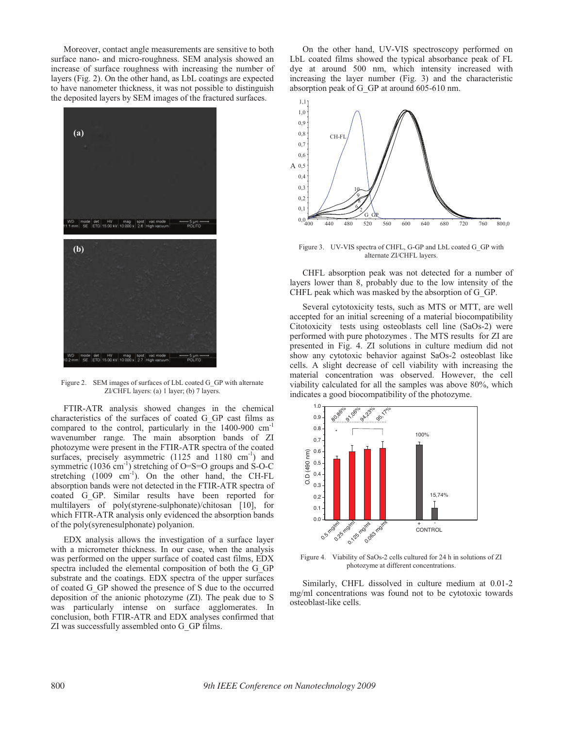Moreover, contact angle measurements are sensitive to both surface nano- and micro-roughness. SEM analysis showed an increase of surface roughness with increasing the number of layers (Fig. 2). On the other hand, as LbL coatings are expected to have nanometer thickness, it was not possible to distinguish the deposited layers by SEM images of the fractured surfaces.



Figure 2. SEM images of surfaces of LbL coated G\_GP with alternate ZI/CHFL layers: (a) 1 layer; (b) 7 layers.

FTIR-ATR analysis showed changes in the chemical characteristics of the surfaces of coated G\_GP cast films as compared to the control, particularly in the 1400-900 cm-1 wavenumber range. The main absorption bands of ZI photozyme were present in the FTIR-ATR spectra of the coated surfaces, precisely asymmetric  $(1125 \text{ and } 1180 \text{ cm}^{-1})$  and symmetric (1036 cm<sup>-1</sup>) stretching of O=S=O groups and S-O-C stretching  $(1009 \text{ cm}^{-1})$ . On the other hand, the CH-FL absorption bands were not detected in the FTIR-ATR spectra of coated G\_GP. Similar results have been reported for multilayers of poly(styrene-sulphonate)/chitosan [10], for which FITR-ATR analysis only evidenced the absorption bands of the poly(syrenesulphonate) polyanion.

EDX analysis allows the investigation of a surface layer with a micrometer thickness. In our case, when the analysis was performed on the upper surface of coated cast films, EDX spectra included the elemental composition of both the G\_GP substrate and the coatings. EDX spectra of the upper surfaces of coated G\_GP showed the presence of S due to the occurred deposition of the anionic photozyme (ZI). The peak due to S was particularly intense on surface agglomerates. In conclusion, both FTIR-ATR and EDX analyses confirmed that ZI was successfully assembled onto G\_GP films.

On the other hand, UV-VIS spectroscopy performed on LbL coated films showed the typical absorbance peak of FL dye at around 500 nm, which intensity increased with increasing the layer number (Fig. 3) and the characteristic absorption peak of G\_GP at around 605-610 nm.



Figure 3. UV-VIS spectra of CHFL, G-GP and LbL coated G\_GP with alternate ZI/CHFL layers.

CHFL absorption peak was not detected for a number of layers lower than 8, probably due to the low intensity of the CHFL peak which was masked by the absorption of G\_GP.

Several cytotoxicity tests, such as MTS or MTT, are well accepted for an initial screening of a material biocompatibility Citotoxicity tests using osteoblasts cell line (SaOs-2) were performed with pure photozymes . The MTS results for ZI are presented in Fig. 4. ZI solutions in culture medium did not show any cytotoxic behavior against SaOs-2 osteoblast like cells. A slight decrease of cell viability with increasing the material concentration was observed. However, the cell viability calculated for all the samples was above 80%, which indicates a good biocompatibility of the photozyme.



Figure 4. Viability of SaOs-2 cells cultured for 24 h in solutions of ZI photozyme at different concentrations.

Similarly, CHFL dissolved in culture medium at 0.01-2 mg/ml concentrations was found not to be cytotoxic towards osteoblast-like cells.